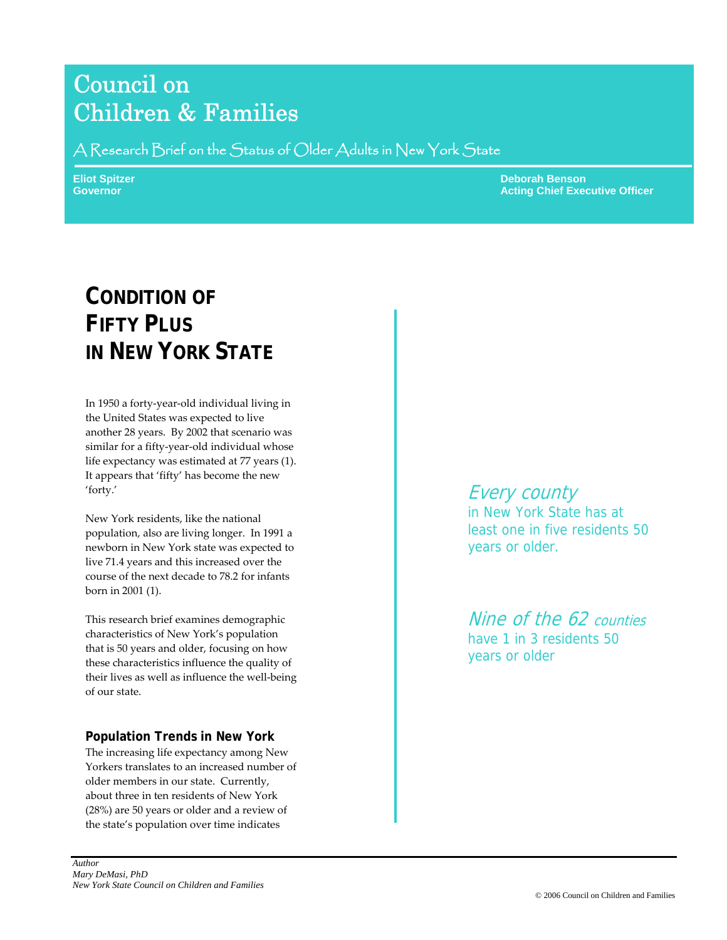# Council on Children & Families

A Research Brief on the Status of Older Adults in New York State

**Eliot Spitzer Deborah Benson Adam Benson Adam Benson Benson Benson Benson Benson Benson Benson Benson Benson Governor Acting Chief Executive Officer** Chief Executive Officer

# **CONDITION OF FIFTY PLUS IN NEW YORK STATE**

In 1950 a forty‐year‐old individual living in the United States was expected to live another 28 years. By 2002 that scenario was similar for a fifty‐year‐old individual whose life expectancy was estimated at 77 years (1). It appears that 'fifty' has become the new 'forty.'

New York residents, like the national population, also are living longer. In 1991 a newborn in New York state was expected to live 71.4 years and this increased over the course of the next decade to 78.2 for infants born in 2001 (1).

This research brief examines demographic characteristics of New York's population that is 50 years and older, focusing on how these characteristics influence the quality of their lives as well as influence the well‐being of our state.

# **Population Trends in New York**

The increasing life expectancy among New Yorkers translates to an increased number of older members in our state. Currently, about three in ten residents of New York (28%) are 50 years or older and a review of the state's population over time indicates

Every county in New York State has at least one in five residents 50 years or older.

Nine of the 62 counties have 1 in 3 residents 50 years or older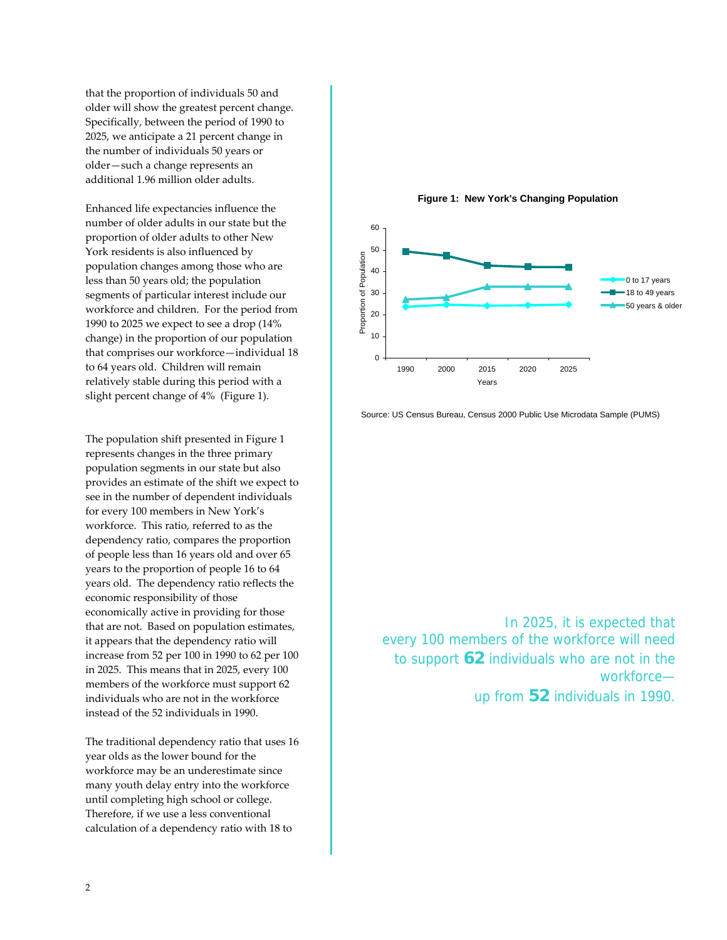that the proportion of individuals 50 and older will show the greatest percent change. Specifically, between the period of 1990 to 2025, we anticipate a 21 percent change in the number of individuals 50 years or older—such a change represents an additional 1.96 million older adults.

Enhanced life expectancies influence the number of older adults in our state but the proportion of older adults to other New York residents is also influenced by population changes among those who are less than 50 years old; the population segments of particular interest include our workforce and children. For the period from 1990 to 2025 we expect to see a drop (14% change) in the proportion of our population that comprises our workforce—individual 18 to 64 years old. Children will remain relatively stable during this period with a slight percent change of 4% (Figure 1).

The population shift presented in Figure 1 represents changes in the three primary population segments in our state but also provides an estimate of the shift we expect to see in the number of dependent individuals for every 100 members in New York's workforce. This ratio, referred to as the dependency ratio, compares the proportion of people less than 16 years old and over 65 years to the proportion of people 16 to 64 years old. The dependency ratio reflects the economic responsibility of those economically active in providing for those that are not. Based on population estimates, it appears that the dependency ratio will increase from 52 per 100 in 1990 to 62 per 100 in 2025. This means that in 2025, every 100 members of the workforce must support 62 individuals who are not in the workforce instead of the 52 individuals in 1990.

The traditional dependency ratio that uses 16 year olds as the lower bound for the workforce may be an underestimate since many youth delay entry into the workforce until completing high school or college. Therefore, if we use a less conventional calculation of a dependency ratio with 18 to

**Figure 1: New York's Changing Population**



Source: US Census Bureau, Census 2000 Public Use Microdata Sample (PUMS)

In 2025, it is expected that every 100 members of the workforce will need to support **62** individuals who are not in the workforce up from **52** individuals in 1990.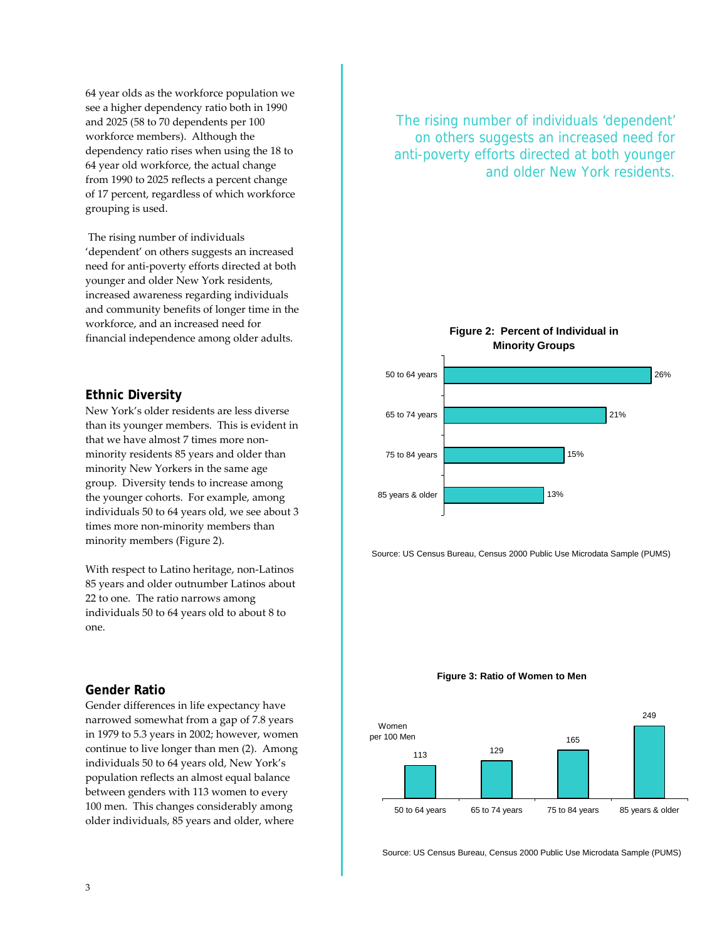64 year olds as the workforce population we see a higher dependency ratio both in 1990 and 2025 (58 to 70 dependents per 100 workforce members). Although the dependency ratio rises when using the 18 to 64 year old workforce, the actual change from 1990 to 2025 reflects a percent change of 17 percent, regardless of which workforce grouping is used.

The rising number of individuals 'dependent' on others suggests an increased need for anti‐poverty efforts directed at both younger and older New York residents, increased awareness regarding individuals and community benefits of longer time in the workforce, and an increased need for financial independence among older adults.

#### **Ethnic Diversity**

New York's older residents are less diverse than its younger members. This is evident in that we have almost 7 times more nonminority residents 85 years and older than minority New Yorkers in the same age group. Diversity tends to increase among the younger cohorts. For example, among individuals 50 to 64 years old, we see about 3 times more non-minority members than minority members (Figure 2).

With respect to Latino heritage, non‐Latinos 85 years and older outnumber Latinos about 22 to one. The ratio narrows among individuals 50 to 64 years old to about 8 to one.

#### **Gender Ratio**

Gender differences in life expectancy have narrowed somewhat from a gap of 7.8 years in 1979 to 5.3 years in 2002; however, women continue to live longer than men (2). Among individuals 50 to 64 years old, New York's population reflects an almost equal balance between genders with 113 women to every 100 men. This changes considerably among older individuals, 85 years and older, where

The rising number of individuals 'dependent' on others suggests an increased need for anti-poverty efforts directed at both younger and older New York residents.

> **Figure 2: Percent of Individual in Minority Groups**



Source: US Census Bureau, Census 2000 Public Use Microdata Sample (PUMS)

#### **Figure 3: Ratio of Women to Men**



Source: US Census Bureau, Census 2000 Public Use Microdata Sample (PUMS)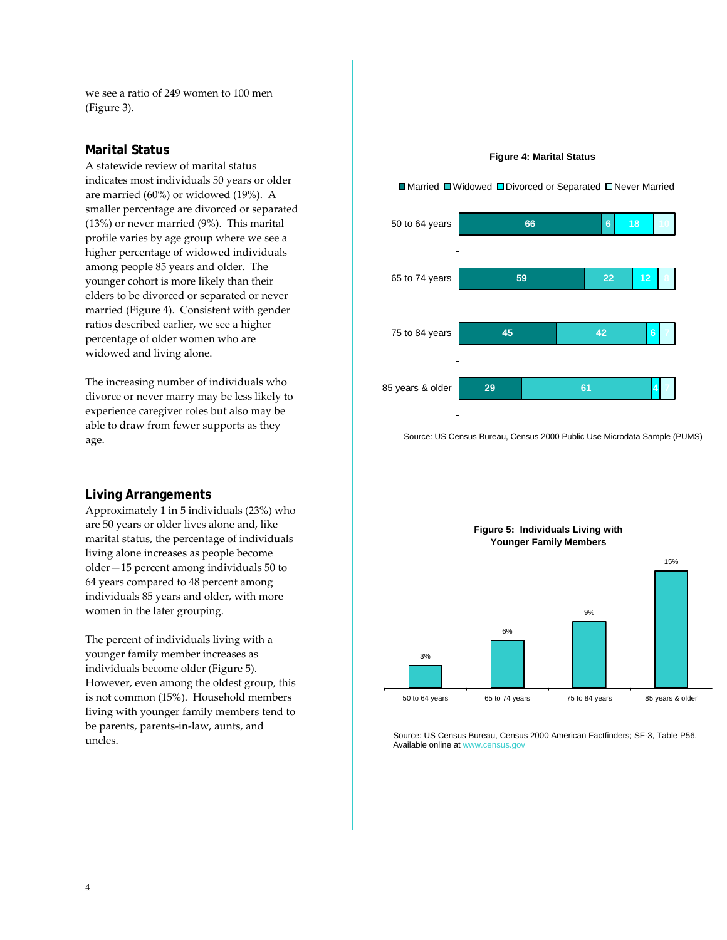we see a ratio of 249 women to 100 men (Figure 3).

#### **Marital Status**

A statewide review of marital status indicates most individuals 50 years or older are married (60%) or widowed (19%). A smaller percentage are divorced or separated (13%) or never married (9%). This marital profile varies by age group where we see a higher percentage of widowed individuals among people 85 years and older. The younger cohort is more likely than their elders to be divorced or separated or never married (Figure 4). Consistent with gender ratios described earlier, we see a higher percentage of older women who are widowed and living alone.

The increasing number of individuals who divorce or never marry may be less likely to experience caregiver roles but also may be able to draw from fewer supports as they age.

#### **Living Arrangements**

Approximately 1 in 5 individuals (23%) who are 50 years or older lives alone and, like marital status, the percentage of individuals living alone increases as people become older—15 percent among individuals 50 to 64 years compared to 48 percent among individuals 85 years and older, with more women in the later grouping.

The percent of individuals living with a younger family member increases as individuals become older (Figure 5). However, even among the oldest group, this is not common (15%). Household members living with younger family members tend to be parents, parents‐in‐law, aunts, and uncles.

#### **Figure 4: Marital Status**



Source: US Census Bureau, Census 2000 Public Use Microdata Sample (PUMS)



Source: US Census Bureau, Census 2000 American Factfinders; SF-3, Table P56. Available online at www.census.gov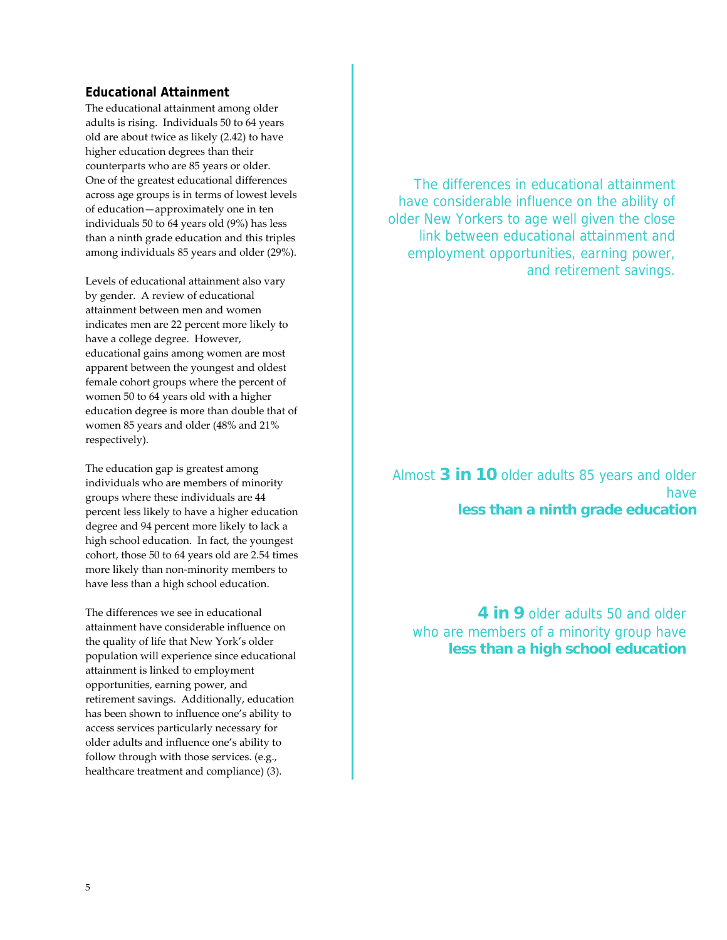#### **Educational Attainment**

The educational attainment among older adults is rising. Individuals 50 to 64 years old are about twice as likely (2.42) to have higher education degrees than their counterparts who are 85 years or older. One of the greatest educational differences across age groups is in terms of lowest levels of education—approximately one in ten individuals 50 to 64 years old (9%) has less than a ninth grade education and this triples among individuals 85 years and older (29%).

Levels of educational attainment also vary by gender. A review of educational attainment between men and women indicates men are 22 percent more likely to have a college degree. However, educational gains among women are most apparent between the youngest and oldest female cohort groups where the percent of women 50 to 64 years old with a higher education degree is more than double that of women 85 years and older (48% and 21% respectively).

The education gap is greatest among individuals who are members of minority groups where these individuals are 44 percent less likely to have a higher education degree and 94 percent more likely to lack a high school education. In fact, the youngest cohort, those 50 to 64 years old are 2.54 times more likely than non‐minority members to have less than a high school education.

The differences we see in educational attainment have considerable influence on the quality of life that New York's older population will experience since educational attainment is linked to employment opportunities, earning power, and retirement savings. Additionally, education has been shown to influence one's ability to access services particularly necessary for older adults and influence one's ability to follow through with those services. (e.g., healthcare treatment and compliance) (3).

The differences in educational attainment have considerable influence on the ability of older New Yorkers to age well given the close link between educational attainment and employment opportunities, earning power, and retirement savings.

# Almost **3 in 10** older adults 85 years and older have **less than a ninth grade education**

**4 in 9** older adults 50 and older who are members of a minority group have **less than a high school education**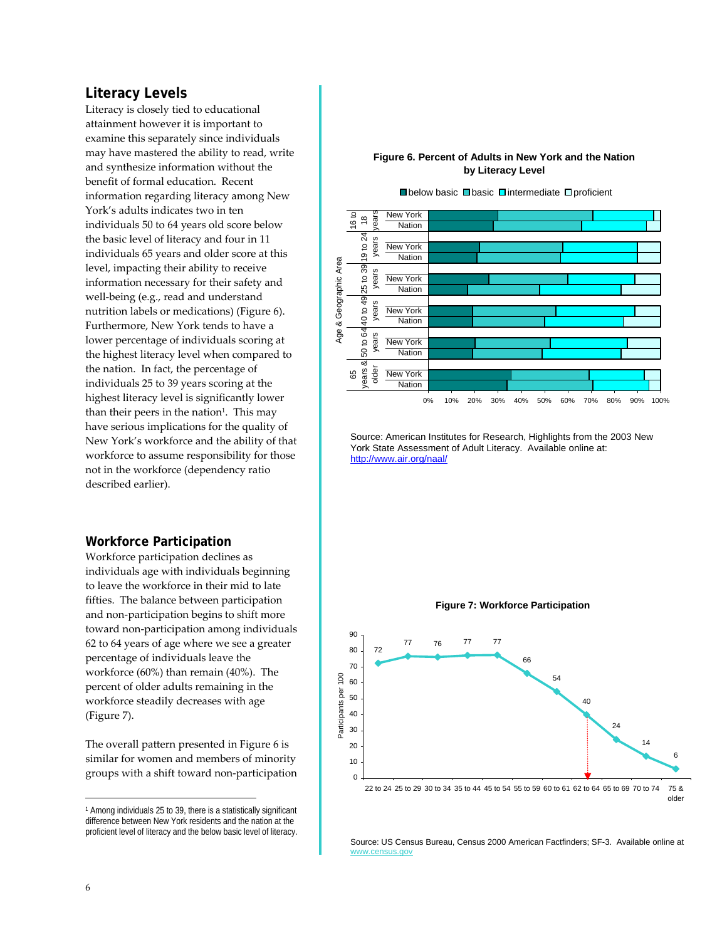## **Literacy Levels**

Literacy is closely tied to educational attainment however it is important to examine this separately since individuals may have mastered the ability to read, write and synthesize information without the benefit of formal education. Recent information regarding literacy among New York's adults indicates two in ten individuals 50 to 64 years old score below the basic level of literacy and four in 11 individuals 65 years and older score at this level, impacting their ability to receive information necessary for their safety and well-being (e.g., read and understand nutrition labels or medications) (Figure 6). Furthermore, New York tends to have a lower percentage of individuals scoring at the highest literacy level when compared to the nation. In fact, the percentage of individuals 25 to 39 years scoring at the highest literacy level is significantly lower than their peers in the nation<sup>1</sup>. This may have serious implications for the quality of New York's workforce and the ability of that workforce to assume responsibility for those not in the workforce (dependency ratio described earlier).

### **Workforce Participation**

Workforce participation declines as individuals age with individuals beginning to leave the workforce in their mid to late fifties. The balance between participation and non‐participation begins to shift more toward non‐participation among individuals 62 to 64 years of age where we see a greater percentage of individuals leave the workforce (60%) than remain (40%). The percent of older adults remaining in the workforce steadily decreases with age (Figure 7).

The overall pattern presented in Figure 6 is similar for women and members of minority groups with a shift toward non‐participation





Source: American Institutes for Research, Highlights from the 2003 New York State Assessment of Adult Literacy. Available online at: http://www.air.org/naal/



Source: US Census Bureau, Census 2000 American Factfinders; SF-3. Available online at www.census.gov

 $\overline{a}$ 

<sup>1</sup> Among individuals 25 to 39, there is a statistically significant difference between New York residents and the nation at the proficient level of literacy and the below basic level of literacy.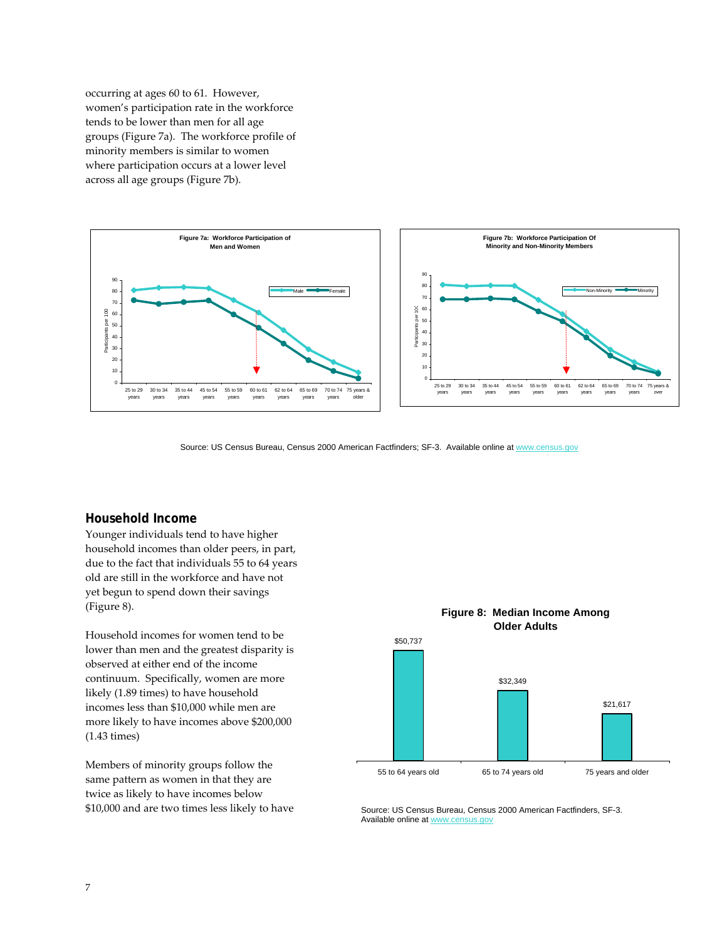occurring at ages 60 to 61. However, women's participation rate in the workforce tends to be lower than men for all age groups (Figure 7a). The workforce profile of minority members is similar to women where participation occurs at a lower level across all age groups (Figure 7b).



Source: US Census Bureau, Census 2000 American Factfinders; SF-3. Available online at www.census.gov

#### **Household Income**

Younger individuals tend to have higher household incomes than older peers, in part, due to the fact that individuals 55 to 64 years old are still in the workforce and have not yet begun to spend down their savings (Figure 8).

Household incomes for women tend to be lower than men and the greatest disparity is observed at either end of the income continuum. Specifically, women are more likely (1.89 times) to have household incomes less than \$10,000 while men are more likely to have incomes above \$200,000 (1.43 times)

Members of minority groups follow the same pattern as women in that they are twice as likely to have incomes below \$10,000 and are two times less likely to have



Source: US Census Bureau, Census 2000 American Factfinders, SF-3. Available online at www.census.gov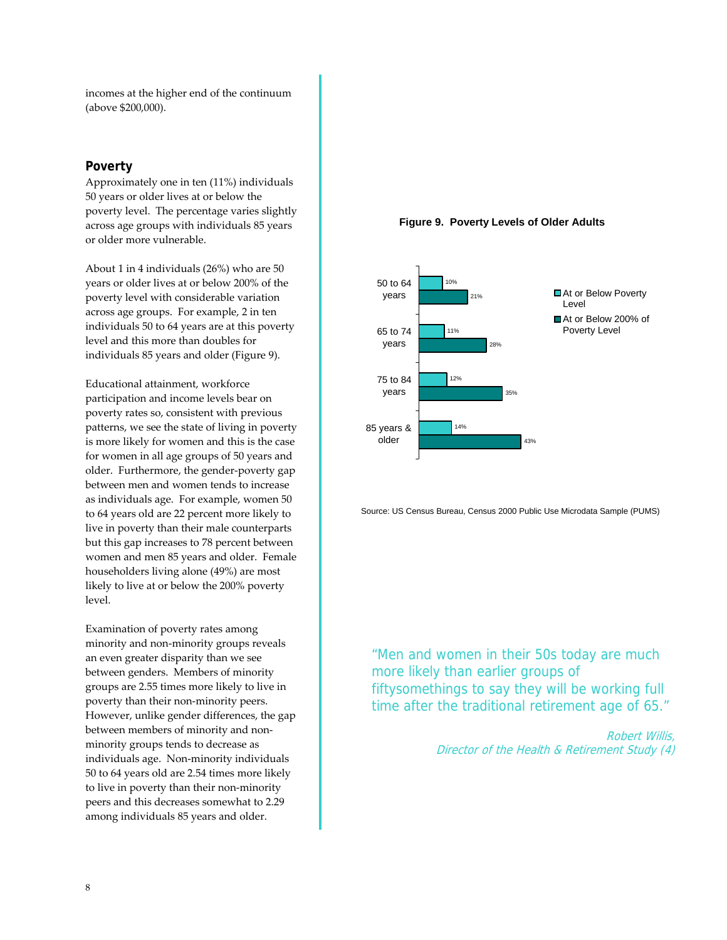incomes at the higher end of the continuum (above \$200,000).

#### **Poverty**

Approximately one in ten (11%) individuals 50 years or older lives at or below the poverty level. The percentage varies slightly across age groups with individuals 85 years or older more vulnerable.

About 1 in 4 individuals (26%) who are 50 years or older lives at or below 200% of the poverty level with considerable variation across age groups. For example, 2 in ten individuals 50 to 64 years are at this poverty level and this more than doubles for individuals 85 years and older (Figure 9).

Educational attainment, workforce participation and income levels bear on poverty rates so, consistent with previous patterns, we see the state of living in poverty is more likely for women and this is the case for women in all age groups of 50 years and older. Furthermore, the gender‐poverty gap between men and women tends to increase as individuals age. For example, women 50 to 64 years old are 22 percent more likely to live in poverty than their male counterparts but this gap increases to 78 percent between women and men 85 years and older. Female householders living alone (49%) are most likely to live at or below the 200% poverty level.

Examination of poverty rates among minority and non‐minority groups reveals an even greater disparity than we see between genders. Members of minority groups are 2.55 times more likely to live in poverty than their non‐minority peers. However, unlike gender differences, the gap between members of minority and non‐ minority groups tends to decrease as individuals age. Non‐minority individuals 50 to 64 years old are 2.54 times more likely to live in poverty than their non‐minority peers and this decreases somewhat to 2.29 among individuals 85 years and older.





Source: US Census Bureau, Census 2000 Public Use Microdata Sample (PUMS)

"Men and women in their 50s today are much more likely than earlier groups of fiftysomethings to say they will be working full time after the traditional retirement age of 65."

> Robert Willis, Director of the Health & Retirement Study (4)